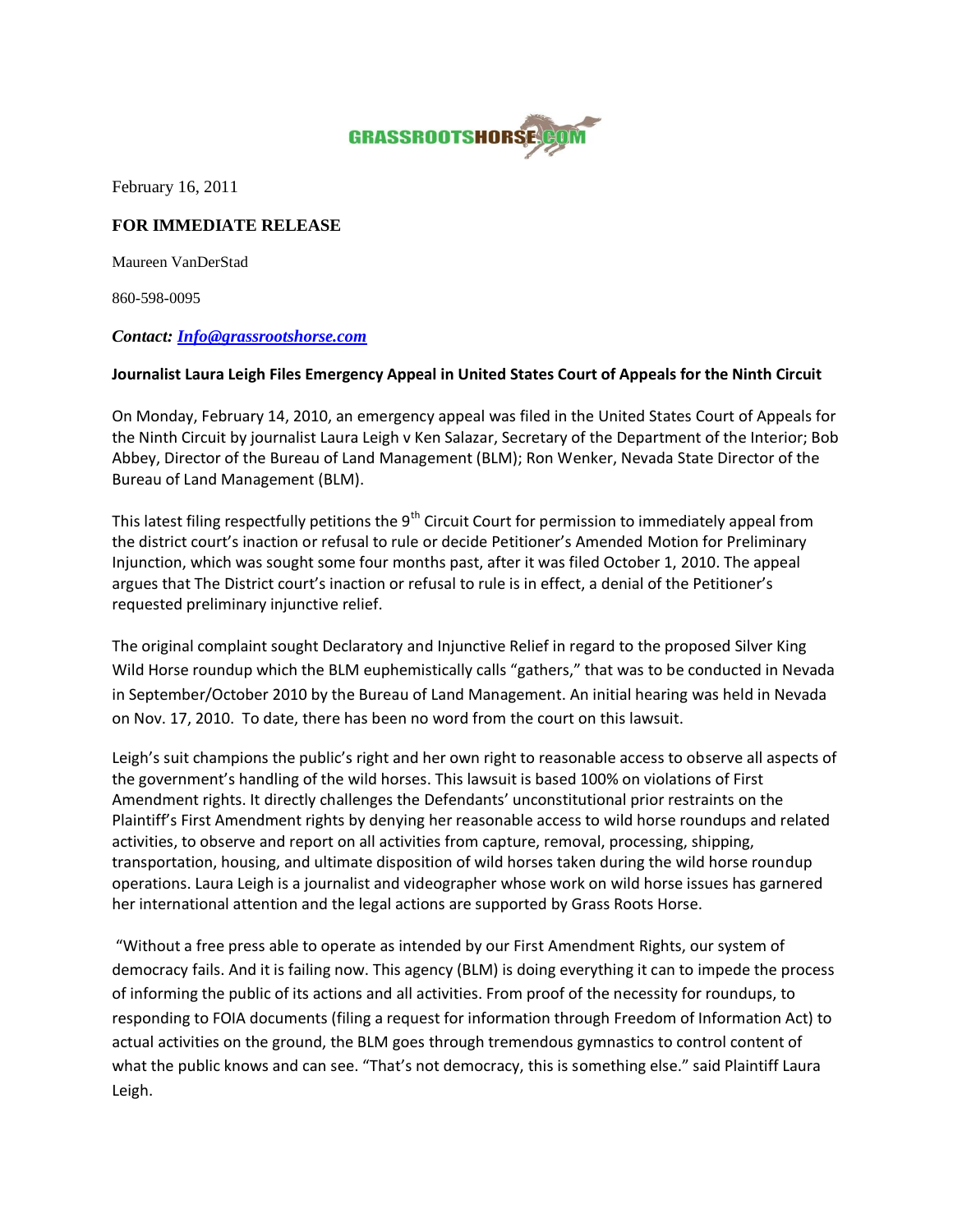

February 16, 2011

## **FOR IMMEDIATE RELEASE**

Maureen VanDerStad

860-598-0095

## *Contact: [Info@grassrootshorse.com](mailto:Info@grassrootshorse.com)*

## **Journalist Laura Leigh Files Emergency Appeal in United States Court of Appeals for the Ninth Circuit**

On Monday, February 14, 2010, an emergency appeal was filed in the United States Court of Appeals for the Ninth Circuit by journalist Laura Leigh v Ken Salazar, Secretary of the Department of the Interior; Bob Abbey, Director of the Bureau of Land Management (BLM); Ron Wenker, Nevada State Director of the Bureau of Land Management (BLM).

This latest filing respectfully petitions the 9<sup>th</sup> Circuit Court for permission to immediately appeal from the district court's inaction or refusal to rule or decide Petitioner's Amended Motion for Preliminary Injunction, which was sought some four months past, after it was filed October 1, 2010. The appeal argues that The District court's inaction or refusal to rule is in effect, a denial of the Petitioner's requested preliminary injunctive relief.

The original complaint sought Declaratory and Injunctive Relief in regard to the proposed Silver King Wild Horse roundup which the BLM euphemistically calls "gathers," that was to be conducted in Nevada in September/October 2010 by the Bureau of Land Management. An initial hearing was held in Nevada on Nov. 17, 2010. To date, there has been no word from the court on this lawsuit.

Leigh's suit champions the public's right and her own right to reasonable access to observe all aspects of the government's handling of the wild horses. This lawsuit is based 100% on violations of First Amendment rights. It directly challenges the Defendants' unconstitutional prior restraints on the Plaintiff's First Amendment rights by denying her reasonable access to wild horse roundups and related activities, to observe and report on all activities from capture, removal, processing, shipping, transportation, housing, and ultimate disposition of wild horses taken during the wild horse roundup operations. Laura Leigh is a journalist and videographer whose work on wild horse issues has garnered her international attention and the legal actions are supported by Grass Roots Horse.

"Without a free press able to operate as intended by our First Amendment Rights, our system of democracy fails. And it is failing now. This agency (BLM) is doing everything it can to impede the process of informing the public of its actions and all activities. From proof of the necessity for roundups, to responding to FOIA documents (filing a request for information through Freedom of Information Act) to actual activities on the ground, the BLM goes through tremendous gymnastics to control content of what the public knows and can see. "That's not democracy, this is something else." said Plaintiff Laura Leigh.